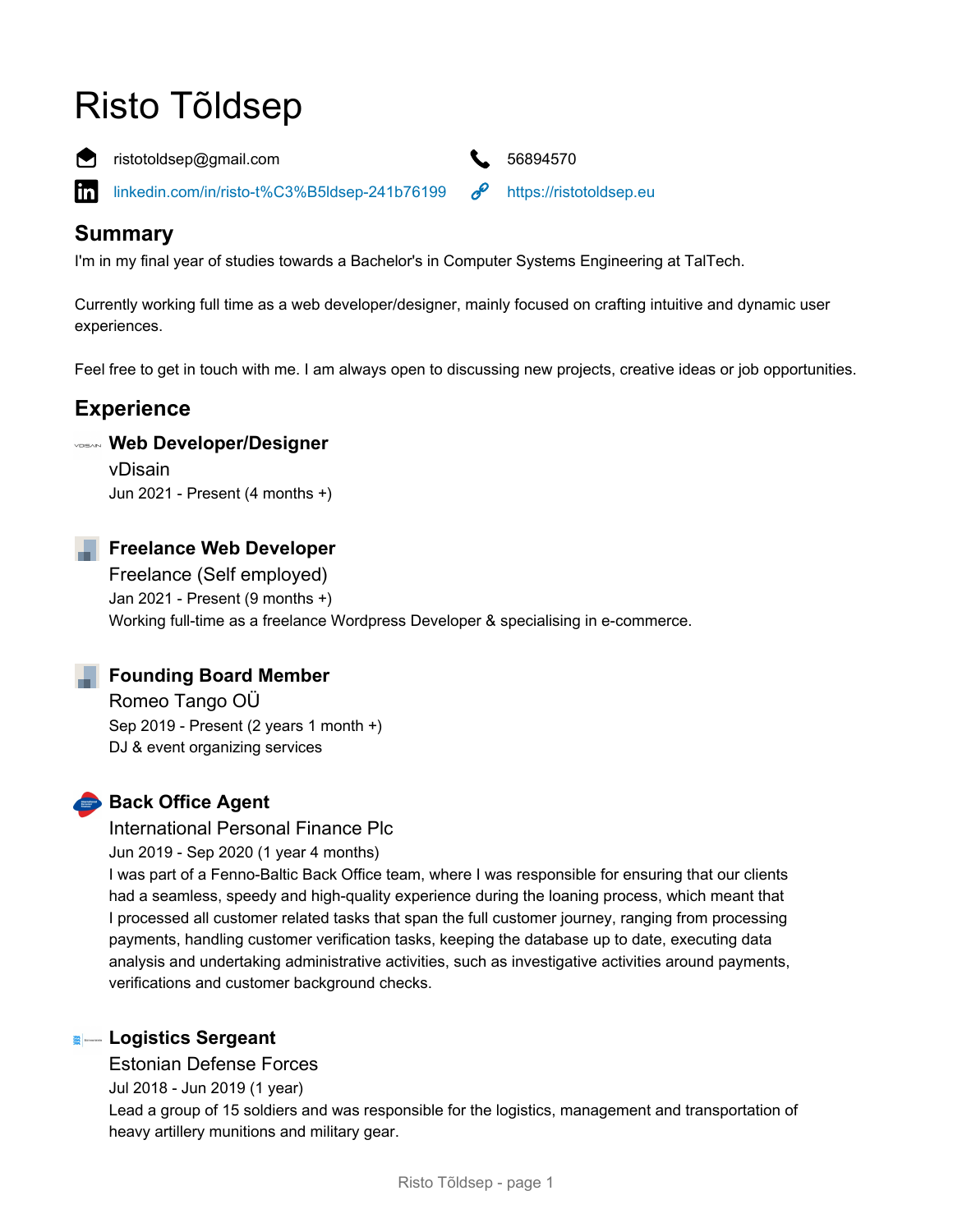# Risto Tõldsep



ristotoldsep@gmail.com **6.4 S6894570** 

[linkedin.com/in/risto-t%C3%B5ldsep-241b76199](https://www.linkedin.com/in/risto-t%C3%B5ldsep-241b76199) <https://ristotoldsep.eu> in.



## **Summary**

I'm in my final year of studies towards a Bachelor's in Computer Systems Engineering at TalTech.

Currently working full time as a web developer/designer, mainly focused on crafting intuitive and dynamic user experiences.

Feel free to get in touch with me. I am always open to discussing new projects, creative ideas or job opportunities.

## **Experience**

#### **Web Developer/Designer**

vDisain Jun 2021 - Present (4 months +)



#### **Freelance Web Developer**

Freelance (Self employed) Jan 2021 - Present (9 months +) Working full-time as a freelance Wordpress Developer & specialising in e-commerce.



### **Founding Board Member**

Romeo Tango OÜ Sep 2019 - Present (2 years 1 month +) DJ & event organizing services

## **Back Office Agent**

International Personal Finance Plc

Jun 2019 - Sep 2020 (1 year 4 months)

I was part of a Fenno-Baltic Back Office team, where I was responsible for ensuring that our clients had a seamless, speedy and high-quality experience during the loaning process, which meant that I processed all customer related tasks that span the full customer journey, ranging from processing payments, handling customer verification tasks, keeping the database up to date, executing data analysis and undertaking administrative activities, such as investigative activities around payments, verifications and customer background checks.

#### **E**— Logistics Sergeant

#### Estonian Defense Forces

Jul 2018 - Jun 2019 (1 year)

Lead a group of 15 soldiers and was responsible for the logistics, management and transportation of heavy artillery munitions and military gear.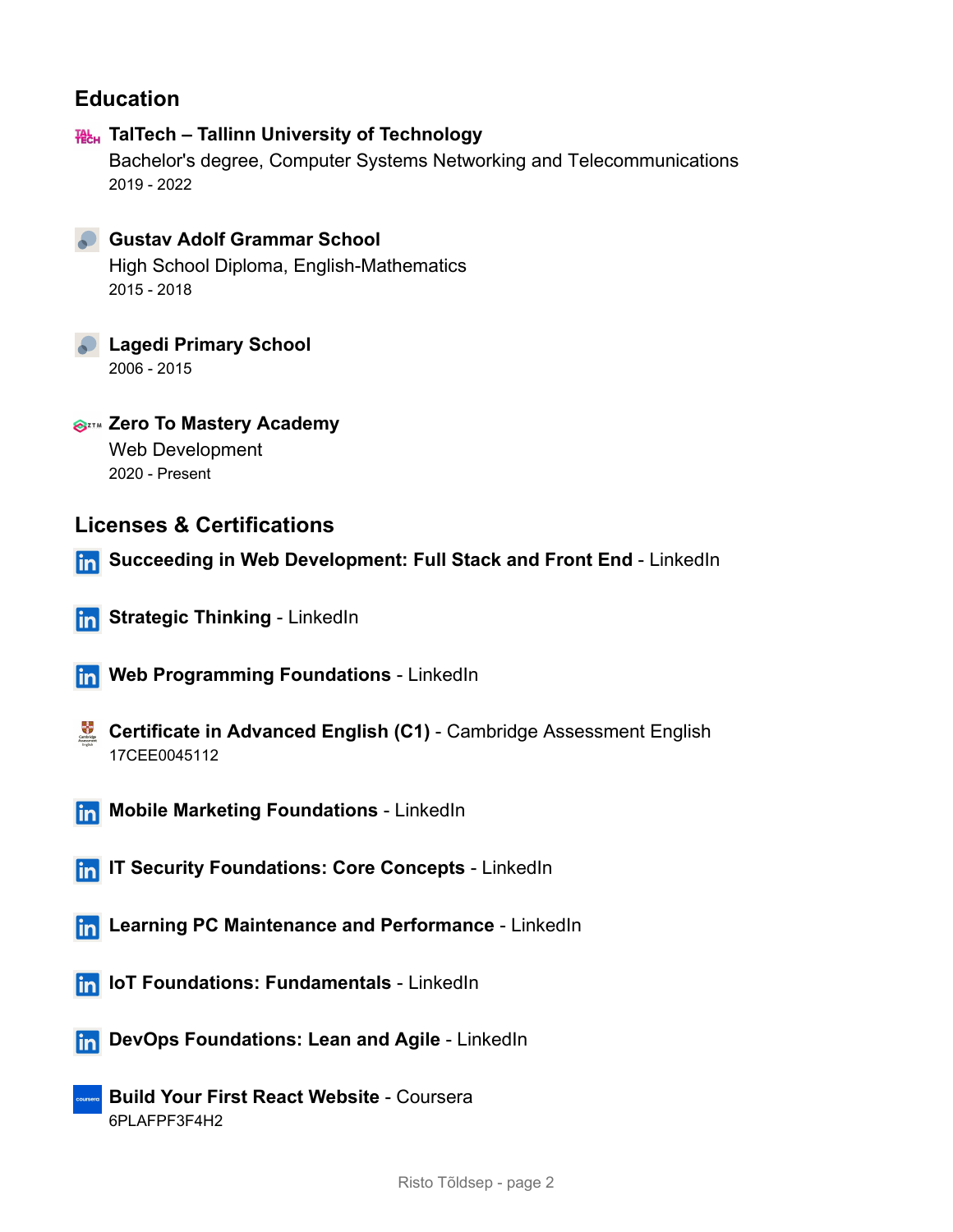## **Education**

## **TalTech – Tallinn University of Technology**

Bachelor's degree, Computer Systems Networking and Telecommunications 2019 - 2022



#### **Gustav Adolf Grammar School**

High School Diploma, English-Mathematics 2015 - 2018

**Lagedi Primary School** 2006 - 2015

**Zero To Mastery Academy** Web Development 2020 - Present

## **Licenses & Certifications**

- **Succeeding in Web Development: Full Stack and Front End** LinkedIn
- **In Strategic Thinking LinkedIn**
- **Frogramming Foundations** LinkedIn
- **Certificate in Advanced English (C1)** Cambridge Assessment English 17CEE0045112
- **In Mobile Marketing Foundations** LinkedIn
- **In IT Security Foundations: Core Concepts LinkedIn**
- **Find Learning PC Maintenance and Performance** LinkedIn
- **In IoT Foundations: Fundamentals** LinkedIn
- **DevOps Foundations: Lean and Agile** LinkedIn
	- **Build Your First React Website** Coursera 6PLAFPF3F4H2